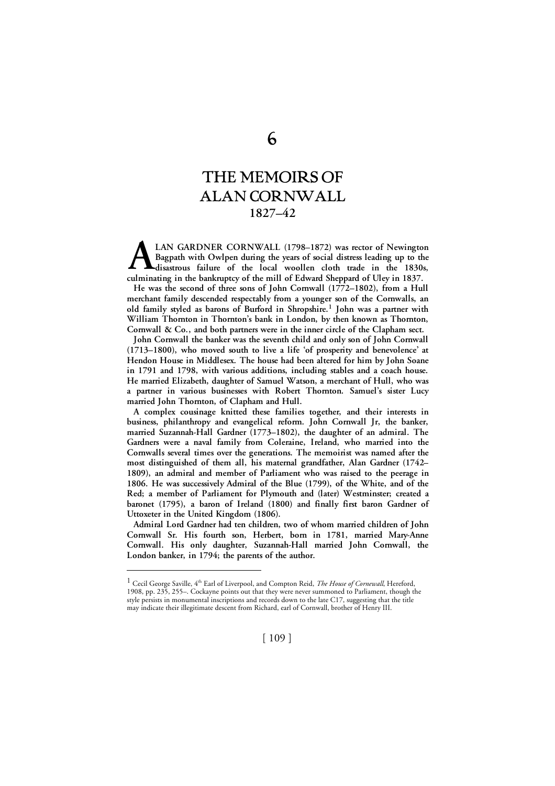# THE MEMOIRS OF ALAN CORNWALL **1827–42**

**LAN GARDNER CORNWALL (1798–1872) was rector of Newington Bagpath with Owlpen during the years of social distress leading up to the disastrous failure of the local woollen cloth trade in the 1830s, culminating in the bankruptcy of the mill of Edward Sheppard of Uley in 1837.**<br> **culminating in the bankruptcy of the mill of Edward Sheppard of Uley in 1837.** 

**He was the second of three sons of John Cornwall (1772–1802), from a Hull merchant family descended respectably from a younger son of the Cornwalls, an old family styled as barons of Burford in Shropshire. <sup>1</sup> John was a partner with William Thornton in Thornton's bank in London, by then known as Thornton, Cornwall & Co., and both partners were in the inner circle of the Clapham sect.**

**John Cornwall the banker was the seventh child and only son of John Cornwall (1713–1800), who moved south to live a life 'of prosperity and benevolence' at Hendon House in Middlesex. The house had been altered for him by John Soane in 1791 and 1798, with various additions, including stables and a coach house. He married Elizabeth, daughter of Samuel Watson, a merchant of Hull, who was a partner in various businesses with Robert Thornton. Samuel's sister Lucy married John Thornton, of Clapham and Hull.** 

**A complex cousinage knitted these families together, and their interests in business, philanthropy and evangelical reform. John Cornwall Jr, the banker, married Suzannah-Hall Gardner (1773–1802), the daughter of an admiral. The Gardners were a naval family from Coleraine, Ireland, who married into the Cornwalls several times over the generations. The memoirist was named after the most distinguished of them all, his maternal grandfather, Alan Gardner (1742– 1809), an admiral and member of Parliament who was raised to the peerage in 1806. He was successively Admiral of the Blue (1799), of the White, and of the Red; a member of Parliament for Plymouth and (later) Westminster; created a baronet (1795), a baron of Ireland (1800) and finally first baron Gardner of Uttoxeter in the United Kingdom (1806).** 

**Admiral Lord Gardner had ten children, two of whom married children of John Cornwall Sr. His fourth son, Herbert, born in 1781, married Mary-Anne Cornwall. His only daughter, Suzannah-Hall married John Cornwall, the London banker, in 1794; the parents of the author.**

<sup>&</sup>lt;sup>1</sup> Cecil George Saville, 4<sup>th</sup> Earl of Liverpool, and Compton Reid, *The House of Cornewall*, Hereford, 1908, pp. 235, 255–. Cockayne points out that they were never summoned to Parliament, though the style persists in monumental inscriptions and records down to the late C17, suggesting that the title may indicate their illegitimate descent from Richard, earl of Cornwall, brother of Henry III.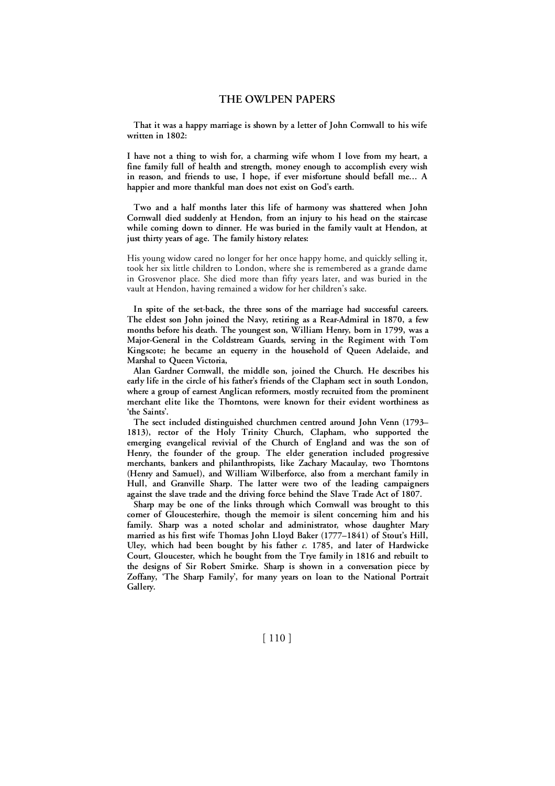**That it was a happy marriage is shown by a letter of John Cornwall to his wife written in 1802:** 

**I have not a thing to wish for, a charming wife whom I love from my heart, a fine family full of health and strength, money enough to accomplish every wish in reason, and friends to use, I hope, if ever misfortune should befall me... A happier and more thankful man does not exist on God's earth.**

**Two and a half months later this life of harmony was shattered when John Cornwall died suddenly at Hendon, from an injury to his head on the staircase while coming down to dinner. He was buried in the family vault at Hendon, at just thirty years of age. The family history relates:**

His young widow cared no longer for her once happy home, and quickly selling it, took her six little children to London, where she is remembered as a grande dame in Grosvenor place. She died more than fifty years later, and was buried in the vault at Hendon, having remained a widow for her children's sake.

**In spite of the set-back, the three sons of the marriage had successful careers. The eldest son John joined the Navy, retiring as a Rear-Admiral in 1870, a few months before his death. The youngest son, William Henry, born in 1799, was a Major-General in the Coldstream Guards, serving in the Regiment with Tom Kingscote; he became an equerry in the household of Queen Adelaide, and Marshal to Queen Victoria,** 

**Alan Gardner Cornwall, the middle son, joined the Church. He describes his early life in the circle of his father's friends of the Clapham sect in south London, where a group of earnest Anglican reformers, mostly recruited from the prominent merchant elite like the Thorntons, were known for their evident worthiness as 'the Saints'.** 

**The sect included distinguished churchmen centred around John Venn (1793– 1813), rector of the Holy Trinity Church, Clapham, who supported the emerging evangelical revivial of the Church of England and was the son of Henry, the founder of the group. The elder generation included progressive merchants, bankers and philanthropists, like Zachary Macaulay, two Thorntons (Henry and Samuel), and William Wilberforce, also from a merchant family in Hull, and Granville Sharp. The latter were two of the leading campaigners against the slave trade and the driving force behind the Slave Trade Act of 1807.**

**Sharp may be one of the links through which Cornwall was brought to this corner of Gloucesterhire, though the memoir is silent concerning him and his family. Sharp was a noted scholar and administrator, whose daughter Mary married as his first wife Thomas John Lloyd Baker (1777–1841) of Stout's Hill, Uley, which had been bought by his father** *c.* **1785, and later of Hardwicke Court, Gloucester, which he bought from the Trye family in 1816 and rebuilt to the designs of Sir Robert Smirke. Sharp is shown in a conversation piece by Zoffany, 'The Sharp Family', for many years on loan to the National Portrait Gallery.**

[ 110 ]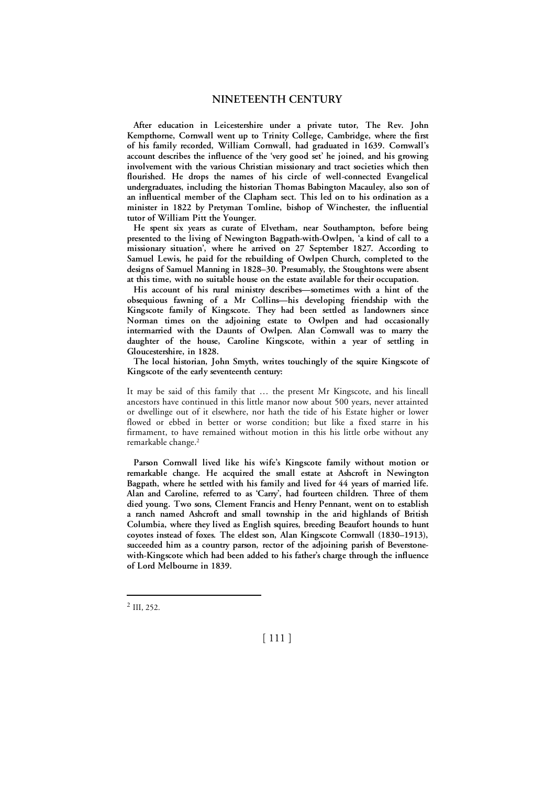**After education in Leicestershire under a private tutor, The Rev. John Kempthorne, Cornwall went up to Trinity College, Cambridge, where the first of his family recorded, William Cornwall, had graduated in 1639. Cornwall's account describes the influence of the 'very good set' he joined, and his growing involvement with the various Christian missionary and tract societies which then flourished. He drops the names of his circle of well-connected Evangelical undergraduates, including the historian Thomas Babington Macauley, also son of an influentical member of the Clapham sect. This led on to his ordination as a minister in 1822 by Pretyman Tomline, bishop of Winchester, the influential tutor of William Pitt the Younger.** 

**He spent six years as curate of Elvetham, near Southampton, before being presented to the living of Newington Bagpath-with-Owlpen, 'a kind of call to a missionary situation', where he arrived on 27 September 1827. According to Samuel Lewis, he paid for the rebuilding of Owlpen Church, completed to the designs of Samuel Manning in 1828–30. Presumably, the Stoughtons were absent at this time, with no suitable house on the estate available for their occupation.**

**His account of his rural ministry describes—sometimes with a hint of the obsequious fawning of a Mr Collins—his developing friendship with the Kingscote family of Kingscote. They had been settled as landowners since Norman times on the adjoining estate to Owlpen and had occasionally intermarried with the Daunts of Owlpen. Alan Cornwall was to marry the daughter of the house, Caroline Kingscote, within a year of settling in Gloucestershire, in 1828.**

**The local historian, John Smyth, writes touchingly of the squire Kingscote of Kingscote of the early seventeenth century:**

It may be said of this family that … the present Mr Kingscote, and his lineall ancestors have continued in this little manor now about 500 years, never attainted or dwellinge out of it elsewhere, nor hath the tide of his Estate higher or lower flowed or ebbed in better or worse condition; but like a fixed starre in his firmament, to have remained without motion in this his little orbe without any remarkable change. 2

**Parson Cornwall lived like his wife's Kingscote family without motion or remarkable change. He acquired the small estate at Ashcroft in Newington Bagpath, where he settled with his family and lived for 44 years of married life. Alan and Caroline, referred to as 'Carry', had fourteen children. Three of them died young. Two sons, Clement Francis and Henry Pennant, went on to establish a ranch named Ashcroft and small township in the arid highlands of British Columbia, where they lived as English squires, breeding Beaufort hounds to hunt coyotes instead of foxes. The eldest son, Alan Kingscote Cornwall (1830–1913), succeeded him as a country parson, rector of the adjoining parish of Beverstonewith-Kingscote which had been added to his father's charge through the influence of Lord Melbourne in 1839.** 

[ 111 ]

 <sup>2</sup> III, 252.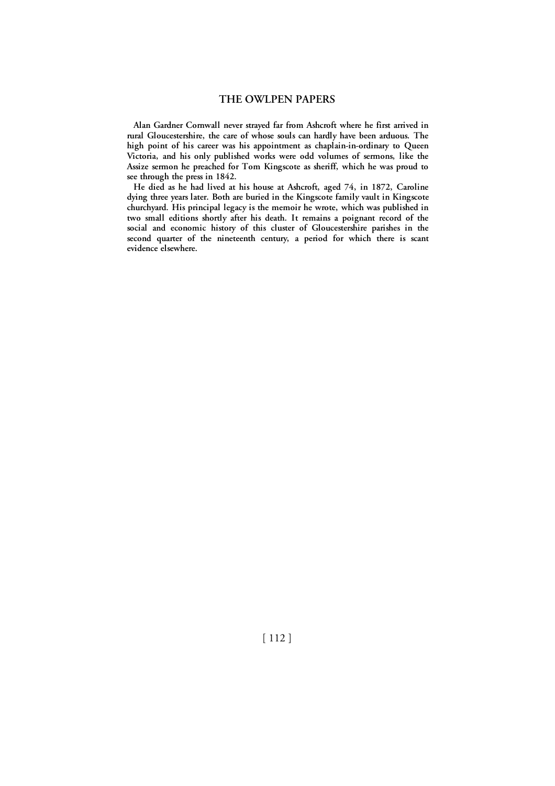**Alan Gardner Cornwall never strayed far from Ashcroft where he first arrived in rural Gloucestershire, the care of whose souls can hardly have been arduous. The high point of his career was his appointment as chaplain-in-ordinary to Queen Victoria, and his only published works were odd volumes of sermons, like the Assize sermon he preached for Tom Kingscote as sheriff, which he was proud to see through the press in 1842.** 

**He died as he had lived at his house at Ashcroft, aged 74, in 1872, Caroline dying three years later. Both are buried in the Kingscote family vault in Kingscote churchyard. His principal legacy is the memoir he wrote, which was published in two small editions shortly after his death. It remains a poignant record of the social and economic history of this cluster of Gloucestershire parishes in the second quarter of the nineteenth century, a period for which there is scant evidence elsewhere.**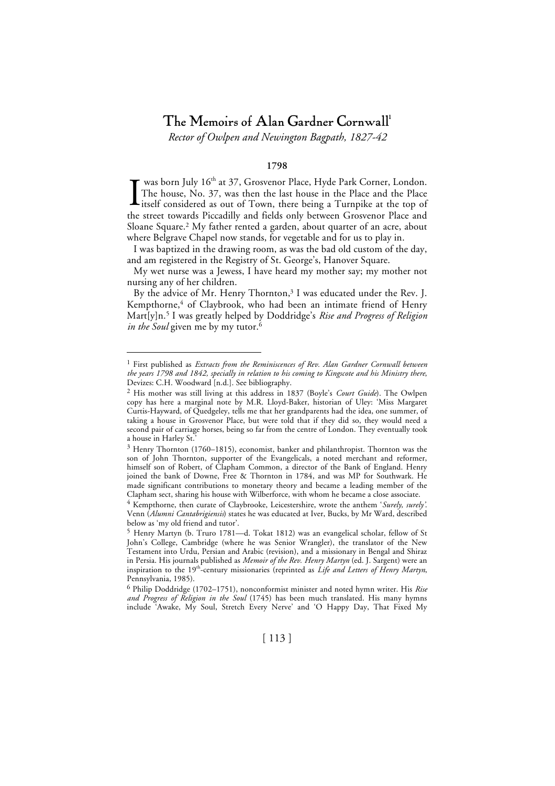# The Memoirs of Alan Gardner Cornwall 1

*Rector of Owlpen and Newington Bagpath, 1827-42*

# **1798**

was born July 16<sup>th</sup> at 37, Grosvenor Place, Hyde Park Corner, London. The house, No. 37, was then the last house in the Place and the Place Litself considered as out of Town, there being a Turnpike at the top of the street towards Piccadilly and fields only between Grosvenor Place and Sloane Square. 2 My father rented a garden, about quarter of an acre, about where Belgrave Chapel now stands, for vegetable and for us to play in. I

I was baptized in the drawing room, as was the bad old custom of the day, and am registered in the Registry of St. George's, Hanover Square.

My wet nurse was a Jewess, I have heard my mother say; my mother not nursing any of her children.

By the advice of Mr. Henry Thornton, 3 I was educated under the Rev. J. Kempthorne,<sup>4</sup> of Claybrook, who had been an intimate friend of Henry Mart[y]n. 5 I was greatly helped by Doddridge's *Rise and Progress of Religion in the Soul* given me by my tutor. 6

6 Philip Doddridge (1702–1751), nonconformist minister and noted hymn writer. His *Rise and Progress of Religion in the Soul* (1745) has been much translated. His many hymns include 'Awake, My Soul, Stretch Every Nerve' and 'O Happy Day, That Fixed My

 <sup>1</sup> First published as *Extracts from the Reminiscences of Rev. Alan Gardner Cornwall between the years 1798 and 1842, specially in relation to his coming to Kingscote and his Ministry there*, Devizes: C.H. Woodward [n.d.]. See bibliography.

<sup>2</sup> His mother was still living at this address in 1837 (Boyle's *Court Guide*). The Owlpen copy has here a marginal note by M.R. Lloyd-Baker, historian of Uley: 'Miss Margaret Curtis-Hayward, of Quedgeley, tells me that her grandparents had the idea, one summer, of taking a house in Grosvenor Place, but were told that if they did so, they would need a second pair of carriage horses, being so far from the centre of London. They eventually took a house in Harley St.

<sup>3</sup> Henry Thornton (1760–1815), economist, banker and philanthropist. Thornton was the son of John Thornton, supporter of the Evangelicals, a noted merchant and reformer, himself son of Robert, of Clapham Common, a director of the Bank of England. Henry joined the bank of Downe, Free & Thornton in 1784, and was MP for Southwark. He made significant contributions to monetary theory and became a leading member of the Clapham sect, sharing his house with Wilberforce, with whom he became a close associate.

<sup>4</sup> Kempthorne, then curate of Claybrooke, Leicestershire, wrote the anthem '*Surely, surely'*. Venn (*Alumni Cantabrigiensis*) states he was educated at Iver, Bucks, by Mr Ward, described below as 'my old friend and tutor'.

<sup>5</sup> Henry Martyn (b. Truro 1781—d. Tokat 1812) was an evangelical scholar, fellow of St John's College, Cambridge (where he was Senior Wrangler), the translator of the New Testament into Urdu, Persian and Arabic (revision), and a missionary in Bengal and Shiraz in Persia. His journals published as *Memoir of the Rev. Henry Martyn* (ed. J. Sargent) were an inspiration to the 19th-century missionaries (reprinted as *Life and Letters of Henry Martyn*, Pennsylvania, 1985).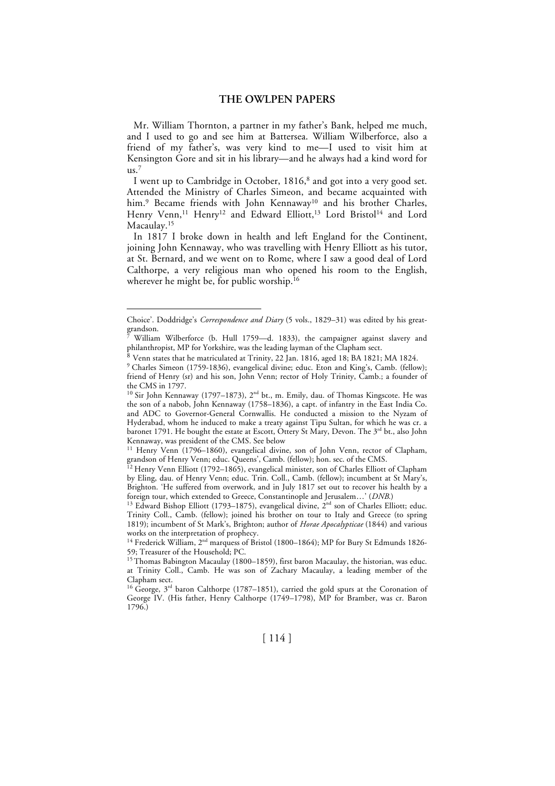Mr. William Thornton, a partner in my father's Bank, helped me much, and I used to go and see him at Battersea. William Wilberforce, also a friend of my father's, was very kind to me—I used to visit him at Kensington Gore and sit in his library—and he always had a kind word for  $\mathsf{u}\mathsf{s}$ .<sup>7</sup>

I went up to Cambridge in October, 1816, 8 and got into a very good set. Attended the Ministry of Charles Simeon, and became acquainted with him.<sup>9</sup> Became friends with John Kennaway<sup>10</sup> and his brother Charles, Henry Venn,<sup>11</sup> Henry<sup>12</sup> and Edward Elliott,<sup>13</sup> Lord Bristol<sup>14</sup> and Lord Macaulay. 15

In 1817 I broke down in health and left England for the Continent, joining John Kennaway, who was travelling with Henry Elliott as his tutor, at St. Bernard, and we went on to Rome, where I saw a good deal of Lord Calthorpe, a very religious man who opened his room to the English, wherever he might be, for public worship. 16

Choice'. Doddridge's *Correspondence and Diary* (5 vols., 1829–31) was edited by his greatgrandson.

<sup>7</sup> William Wilberforce (b. Hull 1759—d. 1833), the campaigner against slavery and philanthropist, MP for Yorkshire, was the leading layman of the Clapham sect.

<sup>8</sup> Venn states that he matriculated at Trinity, 22 Jan. 1816, aged 18; BA 1821; MA 1824.

<sup>&</sup>lt;sup>9</sup> Charles Simeon (1759-1836), evangelical divine; educ. Eton and King's, Camb. (fellow); friend of Henry (sr) and his son, John Venn; rector of Holy Trinity, Camb.; a founder of the CMS in 1797.

<sup>&</sup>lt;sup>10</sup> Sir John Kennaway (1797–1873),  $2<sup>nd</sup>$  bt., m. Emily, dau. of Thomas Kingscote. He was the son of a nabob, John Kennaway (1758–1836), a capt. of infantry in the East India Co. and ADC to Governor-General Cornwallis. He conducted a mission to the Nyzam of Hyderabad, whom he induced to make a treaty against Tipu Sultan, for which he was cr. a baronet 1791. He bought the estate at Escott, Ottery St Mary, Devon. The 3<sup>rd</sup> bt., also John Kennaway, was president of the CMS. See below

<sup>&</sup>lt;sup>11</sup> Henry Venn (1796–1860), evangelical divine, son of John Venn, rector of Clapham, grandson of Henry Venn; educ. Queens', Camb. (fellow); hon. sec. of the CMS.

<sup>&</sup>lt;sup>12</sup> Henry Venn Elliott (1792–1865), evangelical minister, son of Charles Elliott of Clapham by Eling, dau. of Henry Venn; educ. Trin. Coll., Camb. (fellow); incumbent at St Mary's, Brighton. 'He suffered from overwork, and in July 1817 set out to recover his health by a foreign tour, which extended to Greece, Constantinople and Jerusalem...' (*DNB*.)

<sup>&</sup>lt;sup>13</sup> Edward Bishop Elliott (1793–1875), evangelical divine, 2<sup>nd</sup> son of Charles Elliott; educ. Trinity Coll., Camb. (fellow); joined his brother on tour to Italy and Greece (to spring 1819); incumbent of St Mark's, Brighton; author of *Horae Apocalypticae* (1844) and various works on the interpretation of prophecy.

<sup>&</sup>lt;sup>14</sup> Frederick William, 2<sup>nd</sup> marquess of Bristol (1800–1864); MP for Bury St Edmunds 1826-59; Treasurer of the Household; PC.

<sup>&</sup>lt;sup>15</sup> Thomas Babington Macaulay (1800–1859), first baron Macaulay, the historian, was educ. at Trinity Coll., Camb. He was son of Zachary Macaulay, a leading member of the Clapham sect.

<sup>&</sup>lt;sup>16</sup> George,  $3<sup>rd</sup>$  baron Calthorpe (1787–1851), carried the gold spurs at the Coronation of George IV. (His father, Henry Calthorpe (1749–1798), MP for Bramber, was cr. Baron 1796.)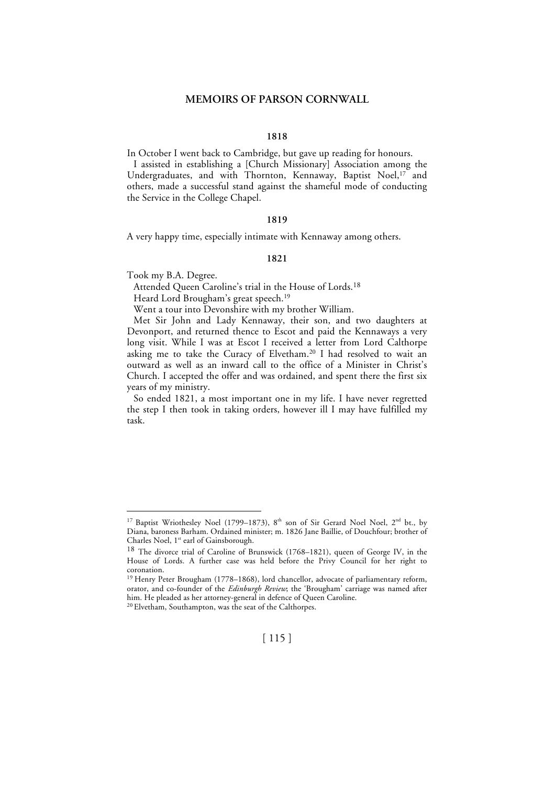#### **1818**

In October I went back to Cambridge, but gave up reading for honours. I assisted in establishing a [Church Missionary] Association among the Undergraduates, and with Thornton, Kennaway, Baptist Noel, 17 and others, made a successful stand against the shameful mode of conducting

#### **1819**

A very happy time, especially intimate with Kennaway among others.

#### **1821**

Took my B.A. Degree.

the Service in the College Chapel.

Attended Queen Caroline's trial in the House of Lords. 18

Heard Lord Brougham's great speech. 19

Went a tour into Devonshire with my brother William.

Met Sir John and Lady Kennaway, their son, and two daughters at Devonport, and returned thence to Escot and paid the Kennaways a very long visit. While I was at Escot I received a letter from Lord Calthorpe asking me to take the Curacy of Elvetham. 20 I had resolved to wait an outward as well as an inward call to the office of a Minister in Christ's Church. I accepted the offer and was ordained, and spent there the first six years of my ministry.

So ended 1821, a most important one in my life. I have never regretted the step I then took in taking orders, however ill I may have fulfilled my task.

<sup>&</sup>lt;sup>17</sup> Baptist Wriothesley Noel (1799–1873),  $8<sup>th</sup>$  son of Sir Gerard Noel Noel,  $2<sup>nd</sup>$  bt., by Diana, baroness Barham. Ordained minister; m. 1826 Jane Baillie, of Douchfour; brother of Charles Noel, 1<sup>st</sup> earl of Gainsborough.

<sup>18</sup> The divorce trial of Caroline of Brunswick (1768–1821), queen of George IV, in the House of Lords. A further case was held before the Privy Council for her right to coronation.

<sup>&</sup>lt;sup>19</sup> Henry Peter Brougham (1778–1868), lord chancellor, advocate of parliamentary reform, orator, and co-founder of the *Edinburgh Review*; the 'Brougham' carriage was named after him. He pleaded as her attorney-general in defence of Queen Caroline.

<sup>20</sup> Elvetham, Southampton, was the seat of the Calthorpes.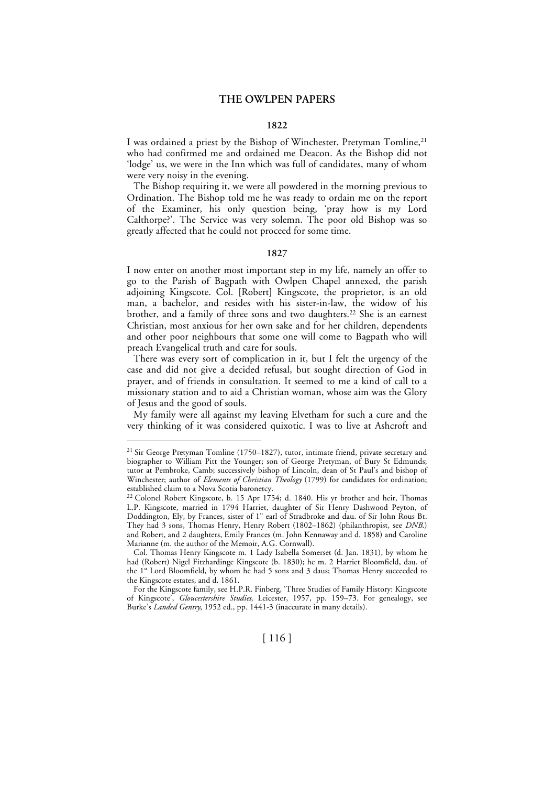#### **1822**

I was ordained a priest by the Bishop of Winchester, Pretyman Tomline, 21 who had confirmed me and ordained me Deacon. As the Bishop did not 'lodge' us, we were in the Inn which was full of candidates, many of whom were very noisy in the evening.

The Bishop requiring it, we were all powdered in the morning previous to Ordination. The Bishop told me he was ready to ordain me on the report of the Examiner, his only question being, 'pray how is my Lord Calthorpe?'. The Service was very solemn. The poor old Bishop was so greatly affected that he could not proceed for some time.

### **1827**

I now enter on another most important step in my life, namely an offer to go to the Parish of Bagpath with Owlpen Chapel annexed, the parish adjoining Kingscote. Col. [Robert] Kingscote, the proprietor, is an old man, a bachelor, and resides with his sister-in-law, the widow of his brother, and a family of three sons and two daughters. 22 She is an earnest Christian, most anxious for her own sake and for her children, dependents and other poor neighbours that some one will come to Bagpath who will preach Evangelical truth and care for souls.

There was every sort of complication in it, but I felt the urgency of the case and did not give a decided refusal, but sought direction of God in prayer, and of friends in consultation. It seemed to me a kind of call to a missionary station and to aid a Christian woman, whose aim was the Glory of Jesus and the good of souls.

My family were all against my leaving Elvetham for such a cure and the very thinking of it was considered quixotic. I was to live at Ashcroft and

<sup>&</sup>lt;sup>21</sup> Sir George Pretyman Tomline (1750–1827), tutor, intimate friend, private secretary and biographer to William Pitt the Younger; son of George Pretyman, of Bury St Edmunds; tutor at Pembroke, Camb; successively bishop of Lincoln, dean of St Paul's and bishop of Winchester; author of *Elements of Christian Theology* (1799) for candidates for ordination; established claim to a Nova Scotia baronetcy.

<sup>&</sup>lt;sup>22</sup> Colonel Robert Kingscote, b. 15 Apr 1754; d. 1840. His yr brother and heir, Thomas L.P. Kingscote, married in 1794 Harriet, daughter of Sir Henry Dashwood Peyton, of Doddington, Ely, by Frances, sister of 1<sup>st</sup> earl of Stradbroke and dau. of Sir John Rous Bt. They had 3 sons, Thomas Henry, Henry Robert (1802–1862) (philanthropist, see *DNB*.) and Robert, and 2 daughters, Emily Frances (m. John Kennaway and d. 1858) and Caroline Marianne (m. the author of the Memoir, A.G. Cornwall).

Col. Thomas Henry Kingscote m. 1 Lady Isabella Somerset (d. Jan. 1831), by whom he had (Robert) Nigel Fitzhardinge Kingscote (b. 1830); he m. 2 Harriet Bloomfield, dau. of the 1st Lord Bloomfield, by whom he had 5 sons and 3 daus; Thomas Henry succeeded to the Kingscote estates, and d. 1861.

For the Kingscote family, see H.P.R. Finberg, 'Three Studies of Family History: Kingscote of Kingscote', *Gloucestershire Studies*, Leicester, 1957, pp. 159–73. For genealogy, see Burke's *Landed Gentry*, 1952 ed., pp. 1441-3 (inaccurate in many details).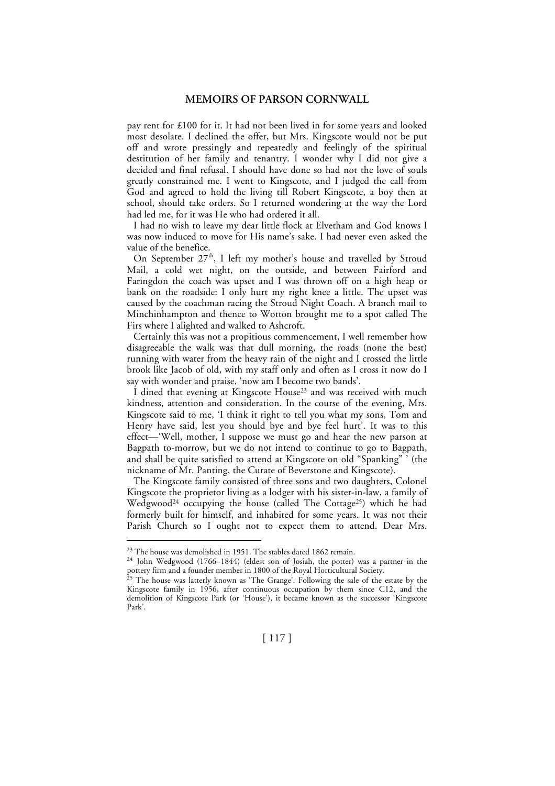pay rent for £100 for it. It had not been lived in for some years and looked most desolate. I declined the offer, but Mrs. Kingscote would not be put off and wrote pressingly and repeatedly and feelingly of the spiritual destitution of her family and tenantry. I wonder why I did not give a decided and final refusal. I should have done so had not the love of souls greatly constrained me. I went to Kingscote, and I judged the call from God and agreed to hold the living till Robert Kingscote, a boy then at school, should take orders. So I returned wondering at the way the Lord had led me, for it was He who had ordered it all.

I had no wish to leave my dear little flock at Elvetham and God knows I was now induced to move for His name's sake. I had never even asked the value of the benefice.

On September  $27<sup>th</sup>$ , I left my mother's house and travelled by Stroud Mail, a cold wet night, on the outside, and between Fairford and Faringdon the coach was upset and I was thrown off on a high heap or bank on the roadside: I only hurt my right knee a little. The upset was caused by the coachman racing the Stroud Night Coach. A branch mail to Minchinhampton and thence to Wotton brought me to a spot called The Firs where I alighted and walked to Ashcroft.

Certainly this was not a propitious commencement, I well remember how disagreeable the walk was that dull morning, the roads (none the best) running with water from the heavy rain of the night and I crossed the little brook like Jacob of old, with my staff only and often as I cross it now do I say with wonder and praise, 'now am I become two bands'.

I dined that evening at Kingscote House<sup>23</sup> and was received with much kindness, attention and consideration. In the course of the evening, Mrs. Kingscote said to me, 'I think it right to tell you what my sons, Tom and Henry have said, lest you should bye and bye feel hurt'. It was to this effect—'Well, mother, I suppose we must go and hear the new parson at Bagpath to-morrow, but we do not intend to continue to go to Bagpath, and shall be quite satisfied to attend at Kingscote on old "Spanking" ' (the nickname of Mr. Panting, the Curate of Beverstone and Kingscote).

The Kingscote family consisted of three sons and two daughters, Colonel Kingscote the proprietor living as a lodger with his sister-in-law, a family of Wedgwood<sup>24</sup> occupying the house (called The Cottage<sup>25</sup>) which he had formerly built for himself, and inhabited for some years. It was not their Parish Church so I ought not to expect them to attend. Dear Mrs.

<sup>&</sup>lt;sup>23</sup> The house was demolished in 1951. The stables dated 1862 remain.

<sup>24</sup> John Wedgwood (1766–1844) (eldest son of Josiah, the potter) was a partner in the pottery firm and a founder member in 1800 of the Royal Horticultural Society. 25 The house was latterly known as 'The Grange'. Following the sale of the estate by the

Kingscote family in 1956, after continuous occupation by them since C12, and the demolition of Kingscote Park (or 'House'), it became known as the successor 'Kingscote Park'.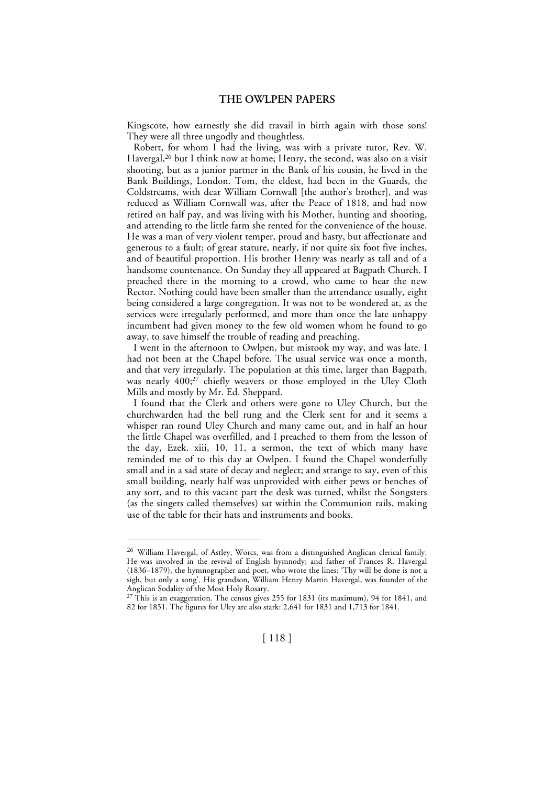Kingscote, how earnestly she did travail in birth again with those sons! They were all three ungodly and thoughtless.

Robert, for whom I had the living, was with a private tutor, Rev. W. Havergal, 26 but I think now at home; Henry, the second, was also on a visit shooting, but as a junior partner in the Bank of his cousin, he lived in the Bank Buildings, London. Tom, the eldest, had been in the Guards, the Coldstreams, with dear William Cornwall [the author's brother], and was reduced as William Cornwall was, after the Peace of 1818, and had now retired on half pay, and was living with his Mother, hunting and shooting, and attending to the little farm she rented for the convenience of the house. He was a man of very violent temper, proud and hasty, but affectionate and generous to a fault; of great stature, nearly, if not quite six foot five inches, and of beautiful proportion. His brother Henry was nearly as tall and of a handsome countenance. On Sunday they all appeared at Bagpath Church. I preached there in the morning to a crowd, who came to hear the new Rector. Nothing could have been smaller than the attendance usually, eight being considered a large congregation. It was not to be wondered at, as the services were irregularly performed, and more than once the late unhappy incumbent had given money to the few old women whom he found to go away, to save himself the trouble of reading and preaching.

I went in the afternoon to Owlpen, but mistook my way, and was late. I had not been at the Chapel before. The usual service was once a month, and that very irregularly. The population at this time, larger than Bagpath, was nearly 400; 27 chiefly weavers or those employed in the Uley Cloth Mills and mostly by Mr. Ed. Sheppard.

I found that the Clerk and others were gone to Uley Church, but the churchwarden had the bell rung and the Clerk sent for and it seems a whisper ran round Uley Church and many came out, and in half an hour the little Chapel was overfilled, and I preached to them from the lesson of the day, Ezek. xiii, 10, 11, a sermon, the text of which many have reminded me of to this day at Owlpen. I found the Chapel wonderfully small and in a sad state of decay and neglect; and strange to say, even of this small building, nearly half was unprovided with either pews or benches of any sort, and to this vacant part the desk was turned, whilst the Songsters (as the singers called themselves) sat within the Communion rails, making use of the table for their hats and instruments and books.

 <sup>26</sup> William Havergal, of Astley, Worcs, was from a distinguished Anglican clerical family. He was involved in the revival of English hymnody; and father of Frances R. Havergal (1836–1879), the hymnographer and poet, who wrote the lines: 'Thy will be done is not a sigh, but only a song'. His grandson, William Henry Martin Havergal, was founder of the Anglican Sodality of the Most Holy Rosary.

 $27$  This is an exaggeration. The census gives 255 for 1831 (its maximum), 94 for 1841, and 82 for 1851. The figures for Uley are also stark: 2,641 for 1831 and 1,713 for 1841.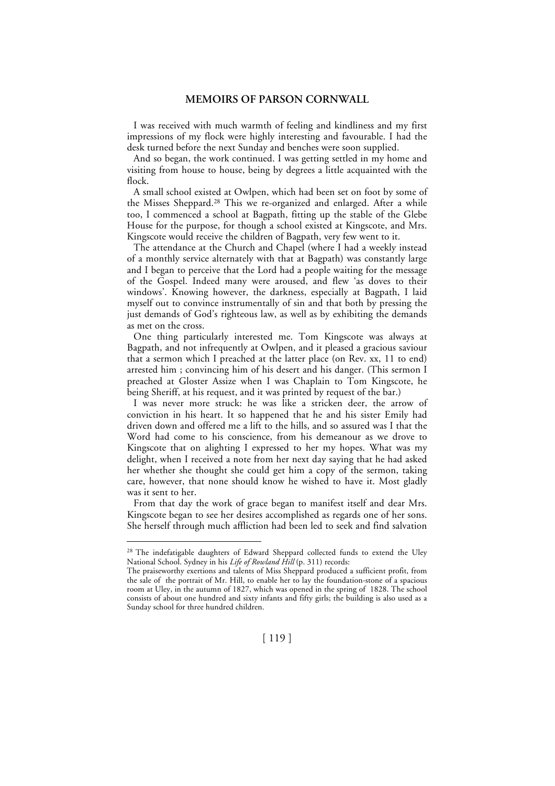I was received with much warmth of feeling and kindliness and my first impressions of my flock were highly interesting and favourable. I had the desk turned before the next Sunday and benches were soon supplied.

And so began, the work continued. I was getting settled in my home and visiting from house to house, being by degrees a little acquainted with the flock.

A small school existed at Owlpen, which had been set on foot by some of the Misses Sheppard. 28 This we re-organized and enlarged. After a while too, I commenced a school at Bagpath, fitting up the stable of the Glebe House for the purpose, for though a school existed at Kingscote, and Mrs. Kingscote would receive the children of Bagpath, very few went to it.

The attendance at the Church and Chapel (where I had a weekly instead of a monthly service alternately with that at Bagpath) was constantly large and I began to perceive that the Lord had a people waiting for the message of the Gospel. Indeed many were aroused, and flew 'as doves to their windows'. Knowing however, the darkness, especially at Bagpath, I laid myself out to convince instrumentally of sin and that both by pressing the just demands of God's righteous law, as well as by exhibiting the demands as met on the cross.

One thing particularly interested me. Tom Kingscote was always at Bagpath, and not infrequently at Owlpen, and it pleased a gracious saviour that a sermon which I preached at the latter place (on Rev. xx, 11 to end) arrested him ; convincing him of his desert and his danger. (This sermon I preached at Gloster Assize when I was Chaplain to Tom Kingscote, he being Sheriff, at his request, and it was printed by request of the bar.)

I was never more struck: he was like a stricken deer, the arrow of conviction in his heart. It so happened that he and his sister Emily had driven down and offered me a lift to the hills, and so assured was I that the Word had come to his conscience, from his demeanour as we drove to Kingscote that on alighting I expressed to her my hopes. What was my delight, when I received a note from her next day saying that he had asked her whether she thought she could get him a copy of the sermon, taking care, however, that none should know he wished to have it. Most gladly was it sent to her.

From that day the work of grace began to manifest itself and dear Mrs. Kingscote began to see her desires accomplished as regards one of her sons. She herself through much affliction had been led to seek and find salvation

<sup>&</sup>lt;sup>28</sup> The indefatigable daughters of Edward Sheppard collected funds to extend the Uley National School. Sydney in his *Life of Rowland Hill* (p. 311) records:

The praiseworthy exertions and talents of Miss Sheppard produced a sufficient profit, from the sale of the portrait of Mr. Hill, to enable her to lay the foundation-stone of a spacious room at Uley, in the autumn of 1827, which was opened in the spring of 1828. The school consists of about one hundred and sixty infants and fifty girls; the building is also used as a Sunday school for three hundred children.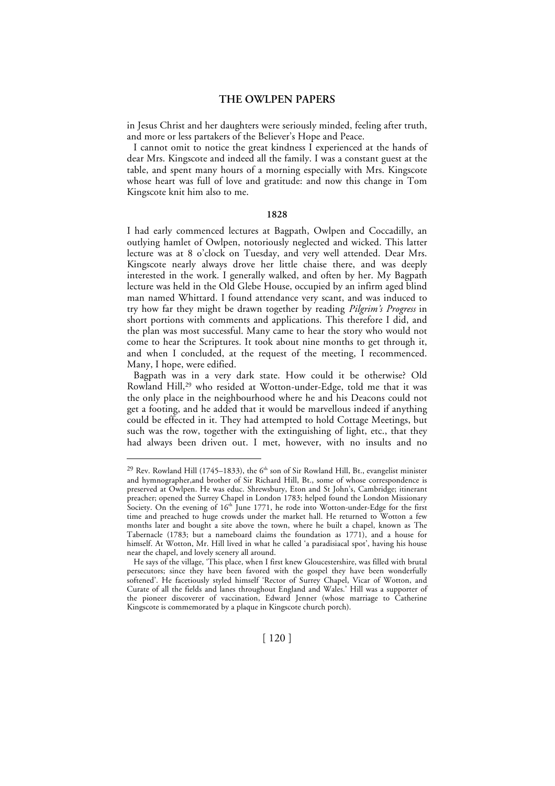in Jesus Christ and her daughters were seriously minded, feeling after truth, and more or less partakers of the Believer's Hope and Peace.

I cannot omit to notice the great kindness I experienced at the hands of dear Mrs. Kingscote and indeed all the family. I was a constant guest at the table, and spent many hours of a morning especially with Mrs. Kingscote whose heart was full of love and gratitude: and now this change in Tom Kingscote knit him also to me.

#### **1828**

I had early commenced lectures at Bagpath, Owlpen and Coccadilly, an outlying hamlet of Owlpen, notoriously neglected and wicked. This latter lecture was at 8 o'clock on Tuesday, and very well attended. Dear Mrs. Kingscote nearly always drove her little chaise there, and was deeply interested in the work. I generally walked, and often by her. My Bagpath lecture was held in the Old Glebe House, occupied by an infirm aged blind man named Whittard. I found attendance very scant, and was induced to try how far they might be drawn together by reading *Pilgrim's Progress* in short portions with comments and applications. This therefore I did, and the plan was most successful. Many came to hear the story who would not come to hear the Scriptures. It took about nine months to get through it, and when I concluded, at the request of the meeting, I recommenced. Many, I hope, were edified.

Bagpath was in a very dark state. How could it be otherwise? Old Rowland Hill, 29 who resided at Wotton-under-Edge, told me that it was the only place in the neighbourhood where he and his Deacons could not get a footing, and he added that it would be marvellous indeed if anything could be effected in it. They had attempted to hold Cottage Meetings, but such was the row, together with the extinguishing of light, etc., that they had always been driven out. I met, however, with no insults and no

<sup>&</sup>lt;sup>29</sup> Rev. Rowland Hill (1745–1833), the  $6<sup>th</sup>$  son of Sir Rowland Hill, Bt., evangelist minister and hymnographer,and brother of Sir Richard Hill, Bt., some of whose correspondence is preserved at Owlpen. He was educ. Shrewsbury, Eton and St John's, Cambridge; itinerant preacher; opened the Surrey Chapel in London 1783; helped found the London Missionary Society. On the evening of  $16<sup>th</sup>$  June 1771, he rode into Wotton-under-Edge for the first time and preached to huge crowds under the market hall. He returned to Wotton a few months later and bought a site above the town, where he built a chapel, known as The Tabernacle (1783; but a nameboard claims the foundation as 1771), and a house for himself. At Wotton, Mr. Hill lived in what he called 'a paradisiacal spot', having his house near the chapel, and lovely scenery all around.

He says of the village, 'This place, when I first knew Gloucestershire, was filled with brutal persecutors; since they have been favored with the gospel they have been wonderfully softened'. He facetiously styled himself 'Rector of Surrey Chapel, Vicar of Wotton, and Curate of all the fields and lanes throughout England and Wales.' Hill was a supporter of the pioneer discoverer of vaccination, Edward Jenner (whose marriage to Catherine Kingscote is commemorated by a plaque in Kingscote church porch).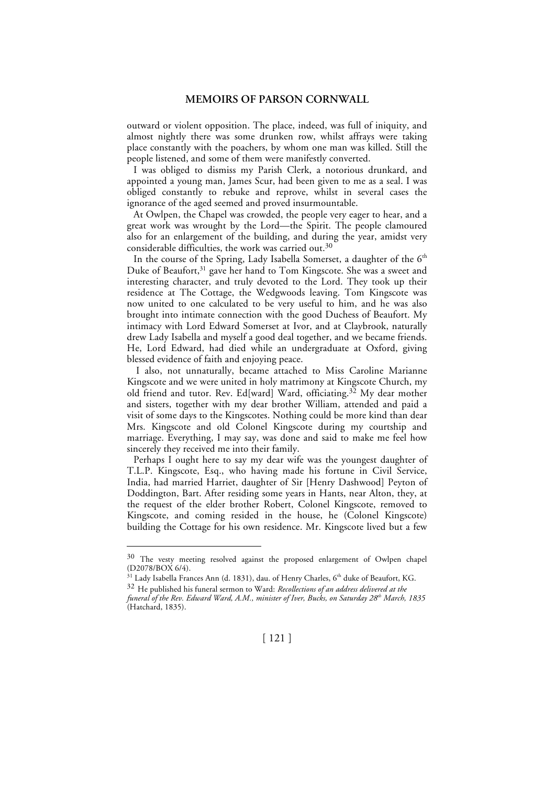outward or violent opposition. The place, indeed, was full of iniquity, and almost nightly there was some drunken row, whilst affrays were taking place constantly with the poachers, by whom one man was killed. Still the people listened, and some of them were manifestly converted.

I was obliged to dismiss my Parish Clerk, a notorious drunkard, and appointed a young man, James Scur, had been given to me as a seal. I was obliged constantly to rebuke and reprove, whilst in several cases the ignorance of the aged seemed and proved insurmountable.

At Owlpen, the Chapel was crowded, the people very eager to hear, and a great work was wrought by the Lord—the Spirit. The people clamoured also for an enlargement of the building, and during the year, amidst very considerable difficulties, the work was carried out. $30$ 

In the course of the Spring, Lady Isabella Somerset, a daughter of the  $6<sup>th</sup>$ Duke of Beaufort, 31 gave her hand to Tom Kingscote. She was a sweet and interesting character, and truly devoted to the Lord. They took up their residence at The Cottage, the Wedgwoods leaving. Tom Kingscote was now united to one calculated to be very useful to him, and he was also brought into intimate connection with the good Duchess of Beaufort. My intimacy with Lord Edward Somerset at Ivor, and at Claybrook, naturally drew Lady Isabella and myself a good deal together, and we became friends. He, Lord Edward, had died while an undergraduate at Oxford, giving blessed evidence of faith and enjoying peace.

 I also, not unnaturally, became attached to Miss Caroline Marianne Kingscote and we were united in holy matrimony at Kingscote Church, my old friend and tutor. Rev. Ed[ward] Ward, officiating.<sup>32</sup> My dear mother and sisters, together with my dear brother William, attended and paid a visit of some days to the Kingscotes. Nothing could be more kind than dear Mrs. Kingscote and old Colonel Kingscote during my courtship and marriage. Everything, I may say, was done and said to make me feel how sincerely they received me into their family.

Perhaps I ought here to say my dear wife was the youngest daughter of T.L.P. Kingscote, Esq., who having made his fortune in Civil Service, India, had married Harriet, daughter of Sir [Henry Dashwood] Peyton of Doddington, Bart. After residing some years in Hants, near Alton, they, at the request of the elder brother Robert, Colonel Kingscote, removed to Kingscote, and coming resided in the house, he (Colonel Kingscote) building the Cottage for his own residence. Mr. Kingscote lived but a few

<sup>&</sup>lt;sup>30</sup> The vesty meeting resolved against the proposed enlargement of Owlpen chapel (D2078/BOX 6/4).

<sup>&</sup>lt;sup>31</sup> Lady Isabella Frances Ann (d. 1831), dau. of Henry Charles, 6<sup>th</sup> duke of Beaufort, KG.

<sup>32</sup> He published his funeral sermon to Ward: *Recollections of an address delivered at the funeral of the Rev. Edward Ward, A.M., minister of Iver, Bucks, on Saturday 28th March, 1835*

<sup>(</sup>Hatchard, 1835).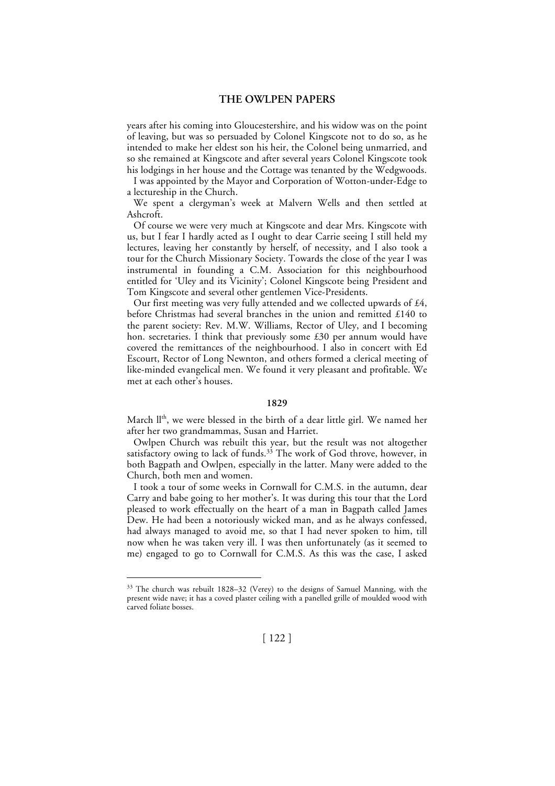years after his coming into Gloucestershire, and his widow was on the point of leaving, but was so persuaded by Colonel Kingscote not to do so, as he intended to make her eldest son his heir, the Colonel being unmarried, and so she remained at Kingscote and after several years Colonel Kingscote took his lodgings in her house and the Cottage was tenanted by the Wedgwoods.

I was appointed by the Mayor and Corporation of Wotton-under-Edge to a lectureship in the Church.

We spent a clergyman's week at Malvern Wells and then settled at Ashcroft.

Of course we were very much at Kingscote and dear Mrs. Kingscote with us, but I fear I hardly acted as I ought to dear Carrie seeing I still held my lectures, leaving her constantly by herself, of necessity, and I also took a tour for the Church Missionary Society. Towards the close of the year I was instrumental in founding a C.M. Association for this neighbourhood entitled for 'Uley and its Vicinity'; Colonel Kingscote being President and Tom Kingscote and several other gentlemen Vice-Presidents.

Our first meeting was very fully attended and we collected upwards of £4, before Christmas had several branches in the union and remitted £140 to the parent society: Rev. M.W. Williams, Rector of Uley, and I becoming hon. secretaries. I think that previously some £30 per annum would have covered the remittances of the neighbourhood. I also in concert with Ed Escourt, Rector of Long Newnton, and others formed a clerical meeting of like-minded evangelical men. We found it very pleasant and profitable. We met at each other's houses.

# **1829**

March II<sup>th</sup>, we were blessed in the birth of a dear little girl. We named her after her two grandmammas, Susan and Harriet.

Owlpen Church was rebuilt this year, but the result was not altogether satisfactory owing to lack of funds.<sup>33</sup> The work of God throve, however, in both Bagpath and Owlpen, especially in the latter. Many were added to the Church, both men and women.

I took a tour of some weeks in Cornwall for C.M.S. in the autumn, dear Carry and babe going to her mother's. It was during this tour that the Lord pleased to work effectually on the heart of a man in Bagpath called James Dew. He had been a notoriously wicked man, and as he always confessed, had always managed to avoid me, so that I had never spoken to him, till now when he was taken very ill. I was then unfortunately (as it seemed to me) engaged to go to Cornwall for C.M.S. As this was the case, I asked

 <sup>33</sup> The church was rebuilt 1828–32 (Verey) to the designs of Samuel Manning, with the present wide nave; it has a coved plaster ceiling with a panelled grille of moulded wood with carved foliate bosses.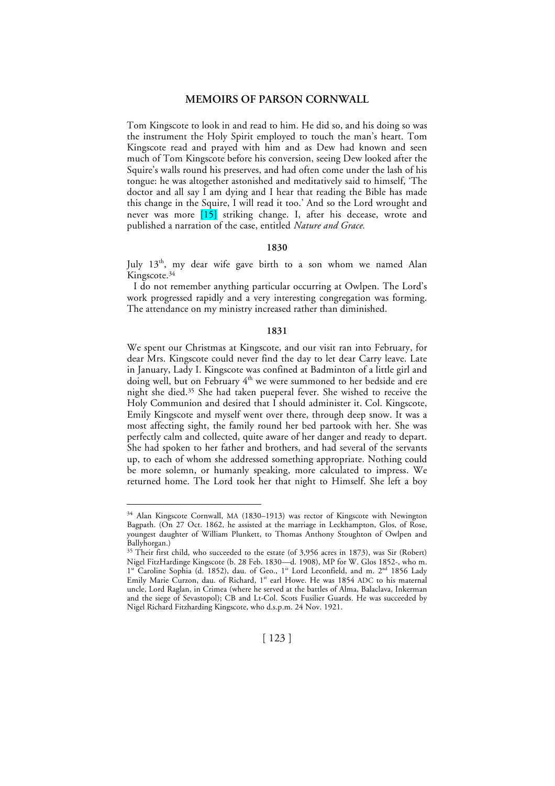Tom Kingscote to look in and read to him. He did so, and his doing so was the instrument the Holy Spirit employed to touch the man's heart. Tom Kingscote read and prayed with him and as Dew had known and seen much of Tom Kingscote before his conversion, seeing Dew looked after the Squire's walls round his preserves, and had often come under the lash of his tongue: he was altogether astonished and meditatively said to himself, 'The doctor and all say I am dying and I hear that reading the Bible has made this change in the Squire, I will read it too.' And so the Lord wrought and never was more [15] striking change. I, after his decease, wrote and published a narration of the case, entitled *Nature and Grace.*

### **1830**

July  $13<sup>th</sup>$ , my dear wife gave birth to a son whom we named Alan Kingscote. 34

I do not remember anything particular occurring at Owlpen. The Lord's work progressed rapidly and a very interesting congregation was forming. The attendance on my ministry increased rather than diminished.

### **1831**

We spent our Christmas at Kingscote, and our visit ran into February, for dear Mrs. Kingscote could never find the day to let dear Carry leave. Late in January, Lady I. Kingscote was confined at Badminton of a little girl and doing well, but on February 4<sup>th</sup> we were summoned to her bedside and ere night she died. 35 She had taken pueperal fever. She wished to receive the Holy Communion and desired that I should administer it. Col. Kingscote, Emily Kingscote and myself went over there, through deep snow. It was a most affecting sight, the family round her bed partook with her. She was perfectly calm and collected, quite aware of her danger and ready to depart. She had spoken to her father and brothers, and had several of the servants up, to each of whom she addressed something appropriate. Nothing could be more solemn, or humanly speaking, more calculated to impress. We returned home. The Lord took her that night to Himself. She left a boy

 <sup>34</sup> Alan Kingscote Cornwall, MA (1830–1913) was rector of Kingscote with Newington Bagpath. (On 27 Oct. 1862, he assisted at the marriage in Leckhampton, Glos, of Rose, youngest daughter of William Plunkett, to Thomas Anthony Stoughton of Owlpen and Ballyhorgan.)

<sup>&</sup>lt;sup>35</sup> Their first child, who succeeded to the estate (of 3,956 acres in 1873), was Sir (Robert) Nigel FitzHardinge Kingscote (b. 28 Feb. 1830—d. 1908), MP for W. Glos 1852-, who m.  $1<sup>st</sup>$  Caroline Sophia (d. 1852), dau. of Geo.,  $1<sup>st</sup>$  Lord Leconfield, and m.  $2<sup>nd</sup>$  1856 Lady Emily Marie Curzon, dau. of Richard, 1<sup>st</sup> earl Howe. He was 1854 ADC to his maternal uncle, Lord Raglan, in Crimea (where he served at the battles of Alma, Balaclava, Inkerman and the siege of Sevastopol); CB and Lt-Col. Scots Fusilier Guards. He was succeeded by Nigel Richard Fitzharding Kingscote, who d.s.p.m. 24 Nov. 1921.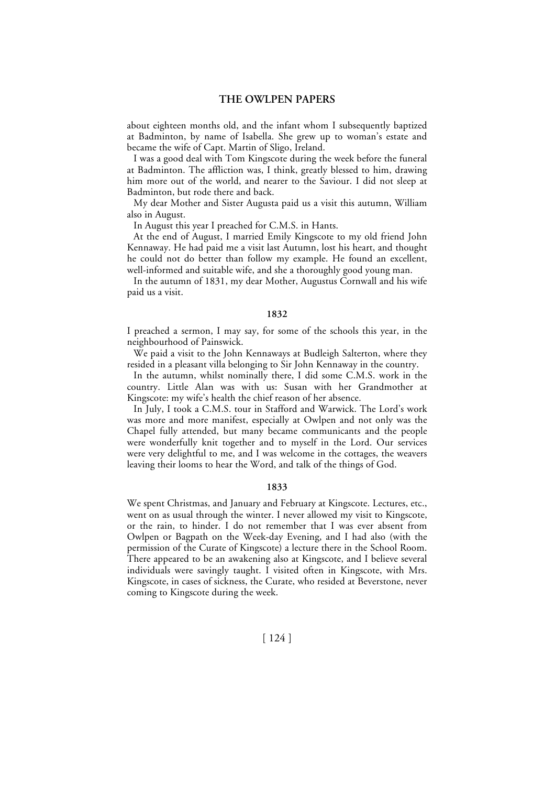about eighteen months old, and the infant whom I subsequently baptized at Badminton, by name of Isabella. She grew up to woman's estate and became the wife of Capt. Martin of Sligo, Ireland.

I was a good deal with Tom Kingscote during the week before the funeral at Badminton. The affliction was, I think, greatly blessed to him, drawing him more out of the world, and nearer to the Saviour. I did not sleep at Badminton, but rode there and back.

My dear Mother and Sister Augusta paid us a visit this autumn, William also in August.

In August this year I preached for C.M.S. in Hants.

At the end of August, I married Emily Kingscote to my old friend John Kennaway. He had paid me a visit last Autumn, lost his heart, and thought he could not do better than follow my example. He found an excellent, well-informed and suitable wife, and she a thoroughly good young man.

In the autumn of 1831, my dear Mother, Augustus Cornwall and his wife paid us a visit.

#### **1832**

I preached a sermon, I may say, for some of the schools this year, in the neighbourhood of Painswick.

We paid a visit to the John Kennaways at Budleigh Salterton, where they resided in a pleasant villa belonging to Sir John Kennaway in the country.

In the autumn, whilst nominally there, I did some C.M.S. work in the country. Little Alan was with us: Susan with her Grandmother at Kingscote: my wife's health the chief reason of her absence.

In July, I took a C.M.S. tour in Stafford and Warwick. The Lord's work was more and more manifest, especially at Owlpen and not only was the Chapel fully attended, but many became communicants and the people were wonderfully knit together and to myself in the Lord. Our services were very delightful to me, and I was welcome in the cottages, the weavers leaving their looms to hear the Word, and talk of the things of God.

#### **1833**

We spent Christmas, and January and February at Kingscote. Lectures, etc., went on as usual through the winter. I never allowed my visit to Kingscote, or the rain, to hinder. I do not remember that I was ever absent from Owlpen or Bagpath on the Week-day Evening, and I had also (with the permission of the Curate of Kingscote) a lecture there in the School Room. There appeared to be an awakening also at Kingscote, and I believe several individuals were savingly taught. I visited often in Kingscote, with Mrs. Kingscote, in cases of sickness, the Curate, who resided at Beverstone, never coming to Kingscote during the week.

[ 124 ]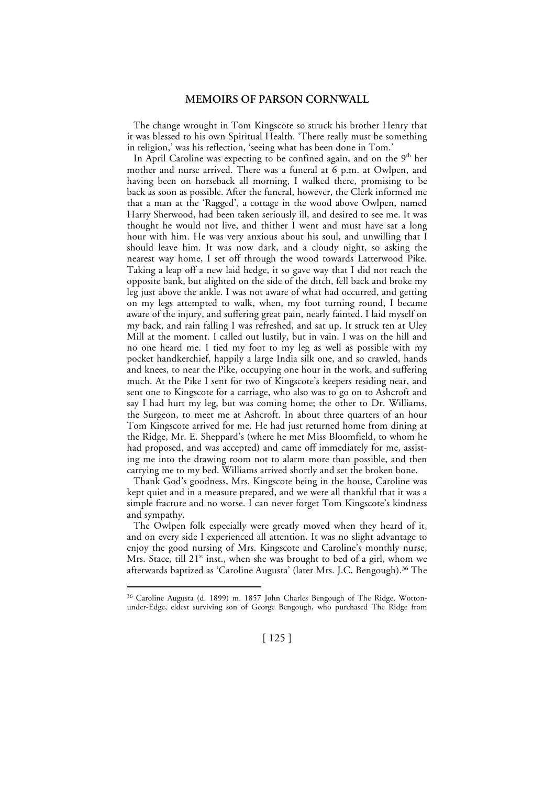The change wrought in Tom Kingscote so struck his brother Henry that it was blessed to his own Spiritual Health. 'There really must be something in religion,' was his reflection, 'seeing what has been done in Tom.'

In April Caroline was expecting to be confined again, and on the  $9<sup>th</sup>$  her mother and nurse arrived. There was a funeral at 6 p.m. at Owlpen, and having been on horseback all morning, I walked there, promising to be back as soon as possible. After the funeral, however, the Clerk informed me that a man at the 'Ragged', a cottage in the wood above Owlpen, named Harry Sherwood, had been taken seriously ill, and desired to see me. It was thought he would not live, and thither I went and must have sat a long hour with him. He was very anxious about his soul, and unwilling that I should leave him. It was now dark, and a cloudy night, so asking the nearest way home, I set off through the wood towards Latterwood Pike. Taking a leap off a new laid hedge, it so gave way that I did not reach the opposite bank, but alighted on the side of the ditch, fell back and broke my leg just above the ankle. I was not aware of what had occurred, and getting on my legs attempted to walk, when, my foot turning round, I became aware of the injury, and suffering great pain, nearly fainted. I laid myself on my back, and rain falling I was refreshed, and sat up. It struck ten at Uley Mill at the moment. I called out lustily, but in vain. I was on the hill and no one heard me. I tied my foot to my leg as well as possible with my pocket handkerchief, happily a large India silk one, and so crawled, hands and knees, to near the Pike, occupying one hour in the work, and suffering much. At the Pike I sent for two of Kingscote's keepers residing near, and sent one to Kingscote for a carriage, who also was to go on to Ashcroft and say I had hurt my leg, but was coming home; the other to Dr. Williams, the Surgeon, to meet me at Ashcroft. In about three quarters of an hour Tom Kingscote arrived for me. He had just returned home from dining at the Ridge, Mr. E. Sheppard's (where he met Miss Bloomfield, to whom he had proposed, and was accepted) and came off immediately for me, assisting me into the drawing room not to alarm more than possible, and then carrying me to my bed. Williams arrived shortly and set the broken bone.

Thank God's goodness, Mrs. Kingscote being in the house, Caroline was kept quiet and in a measure prepared, and we were all thankful that it was a simple fracture and no worse. I can never forget Tom Kingscote's kindness and sympathy.

The Owlpen folk especially were greatly moved when they heard of it, and on every side I experienced all attention. It was no slight advantage to enjoy the good nursing of Mrs. Kingscote and Caroline's monthly nurse, Mrs. Stace, till  $21^{st}$  inst., when she was brought to bed of a girl, whom we afterwards baptized as 'Caroline Augusta' (later Mrs. J.C. Bengough). 36 The

 <sup>36</sup> Caroline Augusta (d. 1899) m. 1857 John Charles Bengough of The Ridge, Wottonunder-Edge, eldest surviving son of George Bengough, who purchased The Ridge from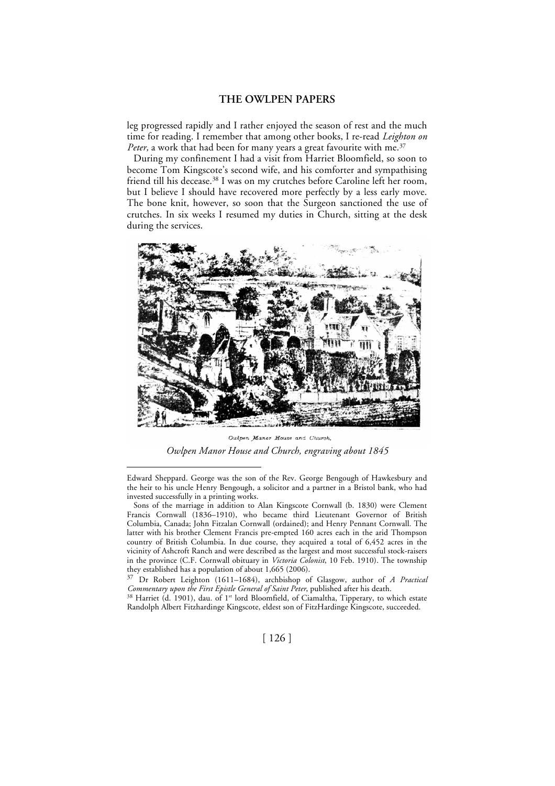leg progressed rapidly and I rather enjoyed the season of rest and the much time for reading. I remember that among other books, I re-read *Leighton on Peter,* a work that had been for many years a great favourite with me. 37

During my confinement I had a visit from Harriet Bloomfield, so soon to become Tom Kingscote's second wife, and his comforter and sympathising friend till his decease. 38 I was on my crutches before Caroline left her room, but I believe I should have recovered more perfectly by a less early move. The bone knit, however, so soon that the Surgeon sanctioned the use of crutches. In six weeks I resumed my duties in Church, sitting at the desk during the services.



Owlpen Manor House and Church. *Owlpen Manor House and Church, engraving about 1845*

 Edward Sheppard. George was the son of the Rev. George Bengough of Hawkesbury and the heir to his uncle Henry Bengough, a solicitor and a partner in a Bristol bank, who had invested successfully in a printing works.

<sup>38</sup> Harriet (d. 1901), dau. of 1<sup>st</sup> lord Bloomfield, of Ciamaltha, Tipperary, to which estate Randolph Albert Fitzhardinge Kingscote, eldest son of FitzHardinge Kingscote, succeeded.

Sons of the marriage in addition to Alan Kingscote Cornwall (b. 1830) were Clement Francis Cornwall (1836–1910), who became third Lieutenant Governor of British Columbia, Canada; John Fitzalan Cornwall (ordained); and Henry Pennant Cornwall. The latter with his brother Clement Francis pre-empted 160 acres each in the arid Thompson country of British Columbia. In due course, they acquired a total of 6,452 acres in the vicinity of Ashcroft Ranch and were described as the largest and most successful stock-raisers in the province (C.F. Cornwall obituary in *Victoria Colonist*, 10 Feb. 1910). The township they established has a population of about 1,665 (2006).

<sup>37</sup> Dr Robert Leighton (1611–1684), archbishop of Glasgow, author of *A Practical Commentary upon the First Epistle General of Saint Peter*, published after his death.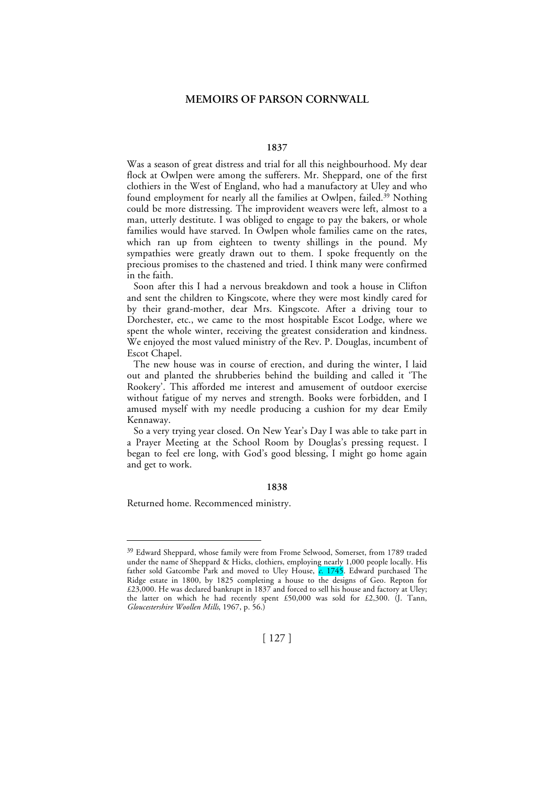#### **1837**

Was a season of great distress and trial for all this neighbourhood. My dear flock at Owlpen were among the sufferers. Mr. Sheppard, one of the first clothiers in the West of England, who had a manufactory at Uley and who found employment for nearly all the families at Owlpen, failed.<sup>39</sup> Nothing could be more distressing. The improvident weavers were left, almost to a man, utterly destitute. I was obliged to engage to pay the bakers, or whole families would have starved. In Owlpen whole families came on the rates, which ran up from eighteen to twenty shillings in the pound. My sympathies were greatly drawn out to them. I spoke frequently on the precious promises to the chastened and tried. I think many were confirmed in the faith.

Soon after this I had a nervous breakdown and took a house in Clifton and sent the children to Kingscote, where they were most kindly cared for by their grand-mother, dear Mrs. Kingscote. After a driving tour to Dorchester, etc., we came to the most hospitable Escot Lodge, where we spent the whole winter, receiving the greatest consideration and kindness. We enjoyed the most valued ministry of the Rev. P. Douglas, incumbent of Escot Chapel.

The new house was in course of erection, and during the winter, I laid out and planted the shrubberies behind the building and called it 'The Rookery'. This afforded me interest and amusement of outdoor exercise without fatigue of my nerves and strength. Books were forbidden, and I amused myself with my needle producing a cushion for my dear Emily Kennaway.

So a very trying year closed. On New Year's Day I was able to take part in a Prayer Meeting at the School Room by Douglas's pressing request. I began to feel ere long, with God's good blessing, I might go home again and get to work.

#### **1838**

Returned home. Recommenced ministry.

 <sup>39</sup> Edward Sheppard, whose family were from Frome Selwood, Somerset, from 1789 traded under the name of Sheppard & Hicks, clothiers, employing nearly 1,000 people locally. His father sold Gatcombe Park and moved to Uley House, *c.* 1745. Edward purchased The Ridge estate in 1800, by 1825 completing a house to the designs of Geo. Repton for £23,000. He was declared bankrupt in 1837 and forced to sell his house and factory at Uley; the latter on which he had recently spent £50,000 was sold for £2,300. (J. Tann, *Gloucestershire Woollen Mills*, 1967, p. 56.)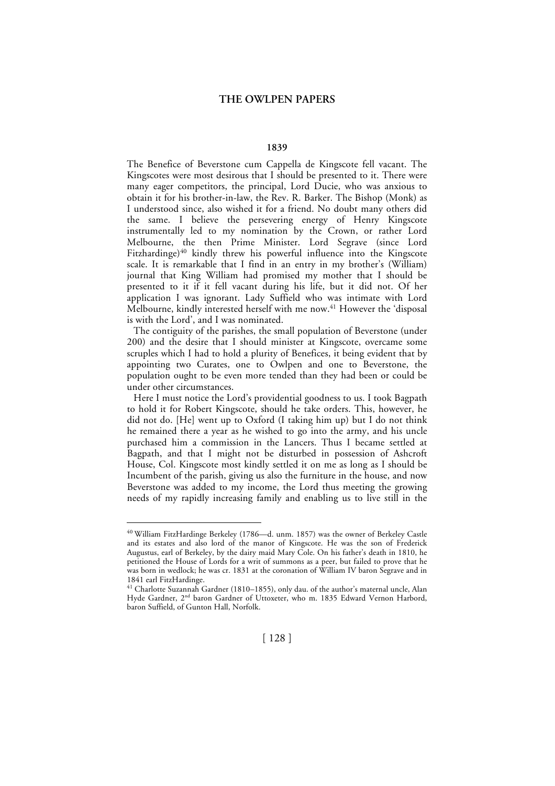#### **1839**

The Benefice of Beverstone cum Cappella de Kingscote fell vacant. The Kingscotes were most desirous that I should be presented to it. There were many eager competitors, the principal, Lord Ducie, who was anxious to obtain it for his brother-in-law, the Rev. R. Barker. The Bishop (Monk) as I understood since, also wished it for a friend. No doubt many others did the same. I believe the persevering energy of Henry Kingscote instrumentally led to my nomination by the Crown, or rather Lord Melbourne, the then Prime Minister. Lord Segrave (since Lord Fitzhardinge)<sup>40</sup> kindly threw his powerful influence into the Kingscote scale. It is remarkable that I find in an entry in my brother's (William) journal that King William had promised my mother that I should be presented to it if it fell vacant during his life, but it did not. Of her application I was ignorant. Lady Suffield who was intimate with Lord Melbourne, kindly interested herself with me now. 41 However the 'disposal is with the Lord', and I was nominated.

The contiguity of the parishes, the small population of Beverstone (under 200) and the desire that I should minister at Kingscote, overcame some scruples which I had to hold a plurity of Benefices, it being evident that by appointing two Curates, one to Owlpen and one to Beverstone, the population ought to be even more tended than they had been or could be under other circumstances.

Here I must notice the Lord's providential goodness to us. I took Bagpath to hold it for Robert Kingscote, should he take orders. This, however, he did not do. [He] went up to Oxford (I taking him up) but I do not think he remained there a year as he wished to go into the army, and his uncle purchased him a commission in the Lancers. Thus I became settled at Bagpath, and that I might not be disturbed in possession of Ashcroft House, Col. Kingscote most kindly settled it on me as long as I should be Incumbent of the parish, giving us also the furniture in the house, and now Beverstone was added to my income, the Lord thus meeting the growing needs of my rapidly increasing family and enabling us to live still in the

 <sup>40</sup> William FitzHardinge Berkeley (1786—d. unm. 1857) was the owner of Berkeley Castle and its estates and also lord of the manor of Kingscote. He was the son of Frederick Augustus, earl of Berkeley, by the dairy maid Mary Cole. On his father's death in 1810, he petitioned the House of Lords for a writ of summons as a peer, but failed to prove that he was born in wedlock; he was cr. 1831 at the coronation of William IV baron Segrave and in 1841 earl FitzHardinge.

<sup>41</sup> Charlotte Suzannah Gardner (1810–1855), only dau. of the author's maternal uncle, Alan Hyde Gardner, 2nd baron Gardner of Uttoxeter, who m. 1835 Edward Vernon Harbord, baron Suffield, of Gunton Hall, Norfolk.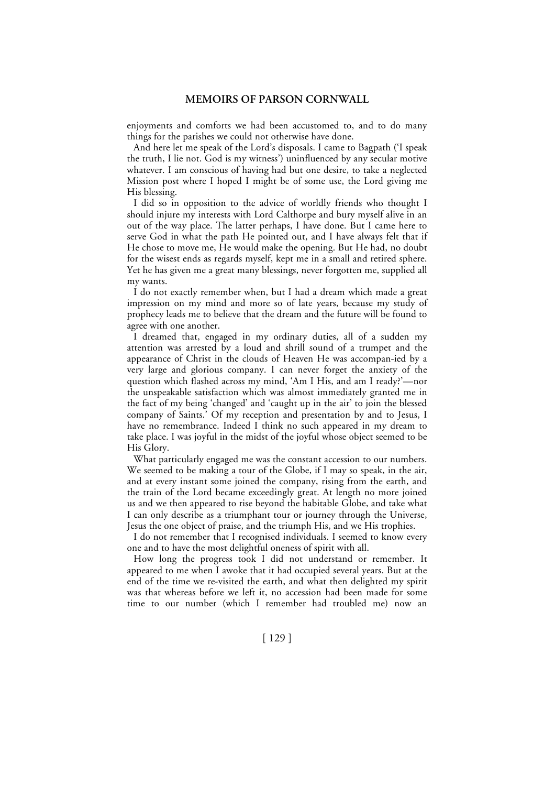enjoyments and comforts we had been accustomed to, and to do many things for the parishes we could not otherwise have done.

And here let me speak of the Lord's disposals. I came to Bagpath ('I speak the truth, I lie not. God is my witness') uninfluenced by any secular motive whatever. I am conscious of having had but one desire, to take a neglected Mission post where I hoped I might be of some use, the Lord giving me His blessing.

I did so in opposition to the advice of worldly friends who thought I should injure my interests with Lord Calthorpe and bury myself alive in an out of the way place. The latter perhaps, I have done. But I came here to serve God in what the path He pointed out, and I have always felt that if He chose to move me, He would make the opening. But He had, no doubt for the wisest ends as regards myself, kept me in a small and retired sphere. Yet he has given me a great many blessings, never forgotten me, supplied all my wants.

I do not exactly remember when, but I had a dream which made a great impression on my mind and more so of late years, because my study of prophecy leads me to believe that the dream and the future will be found to agree with one another.

I dreamed that, engaged in my ordinary duties, all of a sudden my attention was arrested by a loud and shrill sound of a trumpet and the appearance of Christ in the clouds of Heaven He was accompan-ied by a very large and glorious company. I can never forget the anxiety of the question which flashed across my mind, 'Am I His, and am I ready?'—nor the unspeakable satisfaction which was almost immediately granted me in the fact of my being 'changed' and 'caught up in the air' to join the blessed company of Saints.' Of my reception and presentation by and to Jesus, I have no remembrance. Indeed I think no such appeared in my dream to take place. I was joyful in the midst of the joyful whose object seemed to be His Glory.

What particularly engaged me was the constant accession to our numbers. We seemed to be making a tour of the Globe, if I may so speak, in the air, and at every instant some joined the company, rising from the earth, and the train of the Lord became exceedingly great. At length no more joined us and we then appeared to rise beyond the habitable Globe, and take what I can only describe as a triumphant tour or journey through the Universe, Jesus the one object of praise, and the triumph His, and we His trophies.

I do not remember that I recognised individuals. I seemed to know every one and to have the most delightful oneness of spirit with all.

How long the progress took I did not understand or remember. It appeared to me when I awoke that it had occupied several years. But at the end of the time we re-visited the earth, and what then delighted my spirit was that whereas before we left it, no accession had been made for some time to our number (which I remember had troubled me) now an

[ 129 ]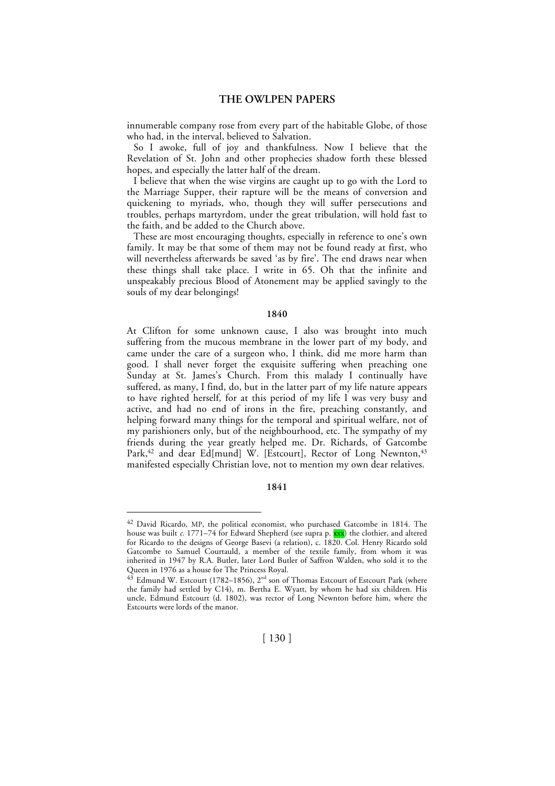innumerable company rose from every part of the habitable Globe, of those who had, in the interval, believed to Salvation.

So I awoke, full of joy and thankfulness. Now I believe that the Revelation of St. John and other prophecies shadow forth these blessed hopes, and especially the latter half of the dream.

I believe that when the wise virgins are caught up to go with the Lord to the Marriage Supper, their rapture will be the means of conversion and quickening to myriads, who, though they will suffer persecutions and troubles, perhaps martyrdom, under the great tribulation, will hold fast to the faith, and be added to the Church above.

These are most encouraging thoughts, especially in reference to one's own family. It may be that some of them may not be found ready at first, who will nevertheless afterwards be saved 'as by fire'. The end draws near when these things shall take place. I write in 65. Oh that the infinite and unspeakably precious Blood of Atonement may be applied savingly to the souls of my dear belongings!

#### **1840**

At Clifton for some unknown cause, I also was brought into much suffering from the mucous membrane in the lower part of my body, and came under the care of a surgeon who, I think, did me more harm than good. I shall never forget the exquisite suffering when preaching one Sunday at St. James's Church. From this malady I continually have suffered, as many, I find, do, but in the latter part of my life nature appears to have righted herself, for at this period of my life I was very busy and active, and had no end of irons in the fire, preaching constantly, and helping forward many things for the temporal and spiritual welfare, not of my parishioners only, but of the neighbourhood, etc. The sympathy of my friends during the year greatly helped me. Dr. Richards, of Gatcombe Park,<sup>42</sup> and dear Ed[mund] W. [Estcourt], Rector of Long Newnton,<sup>43</sup> manifested especially Christian love, not to mention my own dear relatives.

## **1841**

<sup>&</sup>lt;sup>42</sup> David Ricardo, MP, the political economist, who purchased Gatcombe in 1814. The house was built *c.* 1771–74 for Edward Shepherd (see supra p. xxx) the clothier, and altered for Ricardo to the designs of George Basevi (a relation), c. 1820. Col. Henry Ricardo sold Gatcombe to Samuel Courtauld*,* a member of the textile family, from whom it was inherited in 1947 by R.A. Butler*,* later Lord Butler of Saffron Walden, who sold it to the Queen in 1976 as a house for The Princess Royal.

<sup>&</sup>lt;sup>43</sup> Edmund W. Estcourt (1782–1856), 2<sup>nd</sup> son of Thomas Estcourt of Estcourt Park (where the family had settled by C14), m. Bertha E. Wyatt, by whom he had six children. His uncle, Edmund Estcourt (d. 1802), was rector of Long Newnton before him, where the Estcourts were lords of the manor.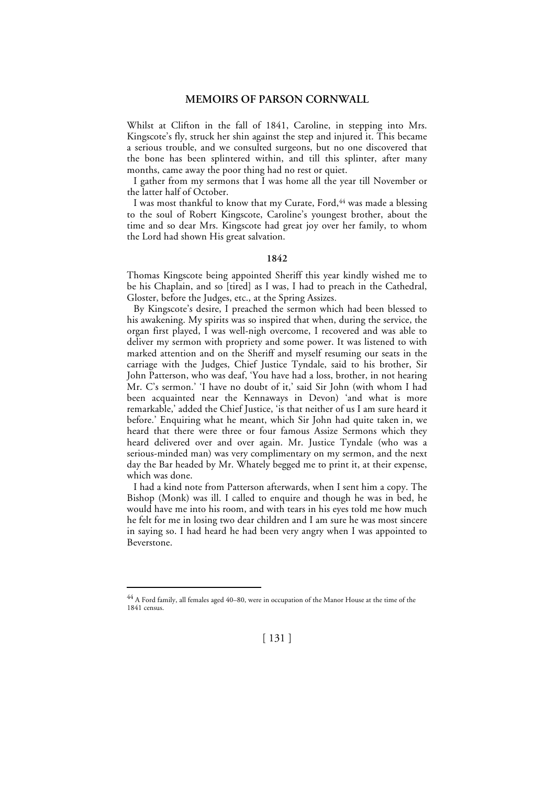Whilst at Clifton in the fall of 1841, Caroline, in stepping into Mrs. Kingscote's fly, struck her shin against the step and injured it. This became a serious trouble, and we consulted surgeons, but no one discovered that the bone has been splintered within, and till this splinter, after many months, came away the poor thing had no rest or quiet.

I gather from my sermons that I was home all the year till November or the latter half of October.

I was most thankful to know that my Curate, Ford, 44 was made a blessing to the soul of Robert Kingscote, Caroline's youngest brother, about the time and so dear Mrs. Kingscote had great joy over her family, to whom the Lord had shown His great salvation.

#### **1842**

Thomas Kingscote being appointed Sheriff this year kindly wished me to be his Chaplain, and so [tired] as I was, I had to preach in the Cathedral, Gloster, before the Judges, etc., at the Spring Assizes.

By Kingscote's desire, I preached the sermon which had been blessed to his awakening. My spirits was so inspired that when, during the service, the organ first played, I was well-nigh overcome, I recovered and was able to deliver my sermon with propriety and some power. It was listened to with marked attention and on the Sheriff and myself resuming our seats in the carriage with the Judges, Chief Justice Tyndale, said to his brother, Sir John Patterson, who was deaf, 'You have had a loss, brother, in not hearing Mr. C's sermon.' 'I have no doubt of it,' said Sir John (with whom I had been acquainted near the Kennaways in Devon) 'and what is more remarkable,' added the Chief Justice, 'is that neither of us I am sure heard it before.' Enquiring what he meant, which Sir John had quite taken in, we heard that there were three or four famous Assize Sermons which they heard delivered over and over again. Mr. Justice Tyndale (who was a serious-minded man) was very complimentary on my sermon, and the next day the Bar headed by Mr. Whately begged me to print it, at their expense, which was done.

I had a kind note from Patterson afterwards, when I sent him a copy. The Bishop (Monk) was ill. I called to enquire and though he was in bed, he would have me into his room, and with tears in his eyes told me how much he felt for me in losing two dear children and I am sure he was most sincere in saying so. I had heard he had been very angry when I was appointed to Beverstone.

 <sup>44</sup> A Ford family, all females aged 40–80, were in occupation of the Manor House at the time of the 1841 census.